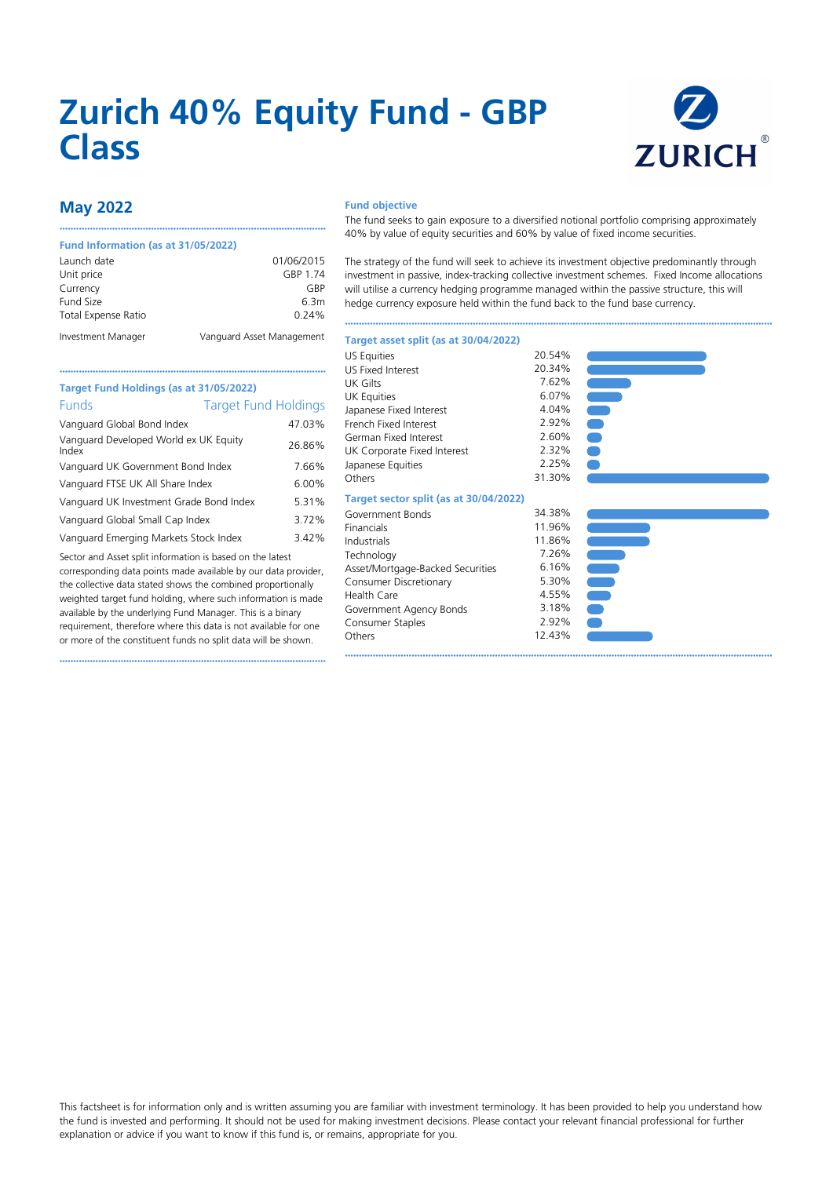# **Zurich 40% Equity Fund - GBP Class**



# **May 2022**

### **Fund Information (as at 31/05/2022)**

| Launch date         | 01/06/2015                |
|---------------------|---------------------------|
| Unit price          | GBP 1.74                  |
| Currency            | GRP                       |
| Fund Size           | 6.3m                      |
| Total Expense Ratio | 0.24%                     |
| Investment Manager  | Vanguard Asset Management |

••••••••••••••••••••••••••••••••••••••••••••••••••••••••••••••••••••••••••••••••••••••••••••••••

#### **Fund objective**

The fund seeks to gain exposure to a diversified notional portfolio comprising approximately 40% by value of equity securities and 60% by value of fixed income securities.

The strategy of the fund will seek to achieve its investment objective predominantly through investment in passive, index-tracking collective investment schemes. Fixed Income allocations will utilise a currency hedging programme managed within the passive structure, this will hedge currency exposure held within the fund back to the fund base currency.

••••••••••••••••••••••••••••••••••••••••••••••••••••••••••••••••••••••••••••••••••••••••••••••••••••••••••••••••••••••••••••••••••••••••••••••••••••••••••

••••••••••••••••••••••••••••••••••••••••••••••••••••••••••••••••••••••••••••••••••••••••••••••••••••••••••••••••••••••••••••••••••••••••••••••••••••••••••

| Target Fund Holdings (as at 31/05/2022)                    |        |  |  |  |  |  |
|------------------------------------------------------------|--------|--|--|--|--|--|
| <b>Funds</b><br><b>Target Fund Holdings</b>                |        |  |  |  |  |  |
| Vanguard Global Bond Index                                 | 47.03% |  |  |  |  |  |
| Vanguard Developed World ex UK Equity<br>Index             | 26.86% |  |  |  |  |  |
| Vanguard UK Government Bond Index                          | 7.66%  |  |  |  |  |  |
| Vanguard FTSE UK All Share Index                           | 6.00%  |  |  |  |  |  |
| Vanguard UK Investment Grade Bond Index                    | 5.31%  |  |  |  |  |  |
| Vanguard Global Small Cap Index                            | 3.72%  |  |  |  |  |  |
| التمامس المصار كالمعتاسم المستشف والمتمسط المستنب والمستحر | ∕חר⊿ ר |  |  |  |  |  |

••••••••••••••••••••••••••••••••••••••••••••••••••••••••••••••••••••••••••••••••••••••••••••••••

Vanguard Emerging Markets Stock Index 3.42%

Sector and Asset split information is based on the latest corresponding data points made available by our data provider, the collective data stated shows the combined proportionally weighted target fund holding, where such information is made available by the underlying Fund Manager. This is a binary requirement, therefore where this data is not available for one or more of the constituent funds no split data will be shown.

••••••••••••••••••••••••••••••••••••••••••••••••••••••••••••••••••••••••••••••••••••••••••••••••

| <b>US Equities</b>                     | 20.54% |
|----------------------------------------|--------|
| <b>US Fixed Interest</b>               | 20.34% |
| <b>UK Gilts</b>                        | 7.62%  |
| <b>UK Equities</b>                     | 6.07%  |
| Japanese Fixed Interest                | 4.04%  |
| French Fixed Interest                  | 2.92%  |
| German Fixed Interest                  | 2.60%  |
| UK Corporate Fixed Interest            | 2.32%  |
| Japanese Equities                      | 2.25%  |
| Others                                 | 31.30% |
| Target sector split (as at 30/04/2022) |        |
| Government Bonds                       | 34.38% |
| Financials                             | 11.96% |
| Industrials                            | 11.86% |
| Technology                             | 7.26%  |
| Asset/Mortgage-Backed Securities       | 6.16%  |
| Consumer Discretionary                 | 5.30%  |
| <b>Health Care</b>                     | 4.55%  |
| Government Agency Bonds                | 3.18%  |
| Consumer Staples                       | 2.92%  |
| Others                                 | 12.43% |
|                                        |        |

**Target asset split (as at 30/04/2022)**